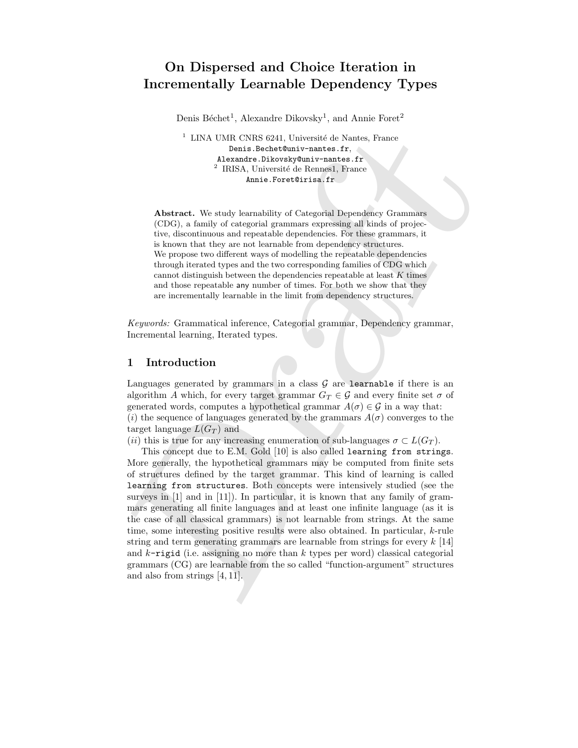# On Dispersed and Choice Iteration in Incrementally Learnable Dependency Types

Denis Béchet<sup>1</sup>, Alexandre Dikovsky<sup>1</sup>, and Annie Foret<sup>2</sup>

 $1$  LINA UMR CNRS 6241, Université de Nantes, France Denis.Bechet@univ-nantes.fr, Alexandre.Dikovsky@univ-nantes.fr <sup>2</sup> IRISA, Université de Rennes1, France Annie.Foret@irisa.fr

Abstract. We study learnability of Categorial Dependency Grammars (CDG), a family of categorial grammars expressing all kinds of projective, discontinuous and repeatable dependencies. For these grammars, it is known that they are not learnable from dependency structures. We propose two different ways of modelling the repeatable dependencies through iterated types and the two corresponding families of CDG which cannot distinguish between the dependencies repeatable at least  $K$  times and those repeatable any number of times. For both we show that they are incrementally learnable in the limit from dependency structures.

Keywords: Grammatical inference, Categorial grammar, Dependency grammar, Incremental learning, Iterated types.

### 1 Introduction

Languages generated by grammars in a class  $G$  are learnable if there is an algorithm A which, for every target grammar  $G_T \in \mathcal{G}$  and every finite set  $\sigma$  of generated words, computes a hypothetical grammar  $A(\sigma) \in \mathcal{G}$  in a way that: (i) the sequence of languages generated by the grammars  $A(\sigma)$  converges to the target language  $L(G_T)$  and

(ii) this is true for any increasing enumeration of sub-languages  $\sigma \subset L(G_T)$ .

 $^1$  LINA UMR CNBS 6241, Université de Nantes, France Marson, France Marson, France Marson, American and Marson, Chinesel de Rompell, France Marson, American and CNG, a forming to Chinesel de Rompell, Transcenter (CDC), a This concept due to E.M. Gold [10] is also called learning from strings. More generally, the hypothetical grammars may be computed from finite sets of structures defined by the target grammar. This kind of learning is called learning from structures. Both concepts were intensively studied (see the surveys in [1] and in [11]). In particular, it is known that any family of grammars generating all finite languages and at least one infinite language (as it is the case of all classical grammars) is not learnable from strings. At the same time, some interesting positive results were also obtained. In particular, k-rule string and term generating grammars are learnable from strings for every  $k$  [14] and  $k$ -rigid (i.e. assigning no more than k types per word) classical categorial grammars (CG) are learnable from the so called "function-argument" structures and also from strings [4, 11].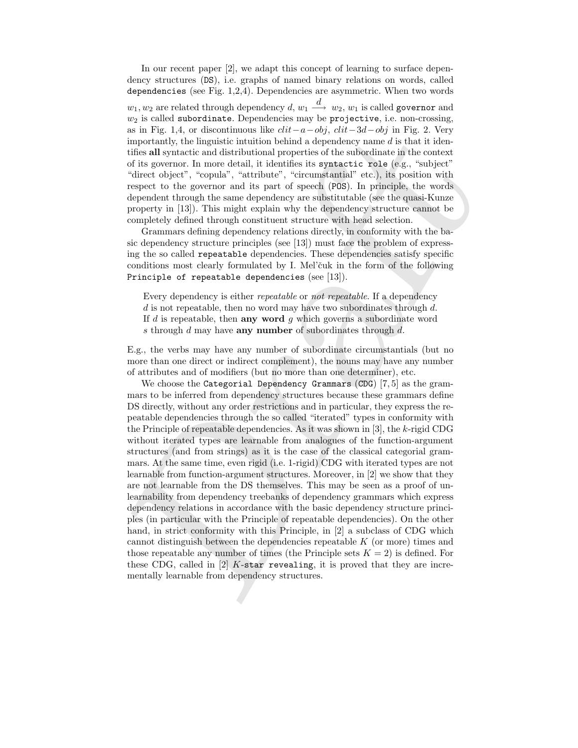In our recent paper [2], we adapt this concept of learning to surface dependency structures (DS), i.e. graphs of named binary relations on words, called dependencies (see Fig. 1,2,4). Dependencies are asymmetric. When two words  $w_1, w_2$  are related through dependency  $d,$   $w_1$   $\stackrel{d}{\longrightarrow}$   $w_2,$   $w_1$  is called governor and  $w_2$  is called subordinate. Dependencies may be projective, i.e. non-crossing, as in Fig. 1,4, or discontinuous like  $clit-a-obj$ ,  $clit-3d-obj$  in Fig. 2. Very importantly, the linguistic intuition behind a dependency name  $d$  is that it identifies all syntactic and distributional properties of the subordinate in the context of its governor. In more detail, it identifies its syntactic role (e.g., "subject" "direct object", "copula", "attribute", "circumstantial" etc.), its position with respect to the governor and its part of speech (POS). In principle, the words dependent through the same dependency are substitutable (see the quasi-Kunze property in [13]). This might explain why the dependency structure cannot be completely defined through constituent structure with head selection.

Grammars defining dependency relations directly, in conformity with the basic dependency structure principles (see [13]) must face the problem of expressing the so called repeatable dependencies. These dependencies satisfy specific conditions most clearly formulated by I. Mel'cuk in the form of the following Principle of repeatable dependencies (see [13]).

Every dependency is either repeatable or not repeatable. If a dependency  $d$  is not repeatable, then no word may have two subordinates through  $d$ . If  $d$  is repeatable, then any word  $g$  which governs a subordinate word s through  $d$  may have **any number** of subordinates through  $d$ .

E.g., the verbs may have any number of subordinate circumstantials (but no more than one direct or indirect complement), the nouns may have any number of attributes and of modifiers (but no more than one determiner), etc.

as in Fig. 1.4, or discontinuous like  $cd$   $\sim b\beta$ , diff  $3d$  or jin Fig. 2. Very simpler<br>tand), the impariate intuition behind a dependency mane d is that it identify<br>the impariate intuition behind a dependency mane d is We choose the Categorial Dependency Grammars (CDG) [7, 5] as the grammars to be inferred from dependency structures because these grammars define DS directly, without any order restrictions and in particular, they express the repeatable dependencies through the so called "iterated" types in conformity with the Principle of repeatable dependencies. As it was shown in [3], the  $k$ -rigid CDG without iterated types are learnable from analogues of the function-argument structures (and from strings) as it is the case of the classical categorial grammars. At the same time, even rigid (i.e. 1-rigid) CDG with iterated types are not learnable from function-argument structures. Moreover, in [2] we show that they are not learnable from the DS themselves. This may be seen as a proof of unlearnability from dependency treebanks of dependency grammars which express dependency relations in accordance with the basic dependency structure principles (in particular with the Principle of repeatable dependencies). On the other hand, in strict conformity with this Principle, in [2] a subclass of CDG which cannot distinguish between the dependencies repeatable  $K$  (or more) times and those repeatable any number of times (the Principle sets  $K = 2$ ) is defined. For these CDG, called in  $[2]$  K-star revealing, it is proved that they are incrementally learnable from dependency structures.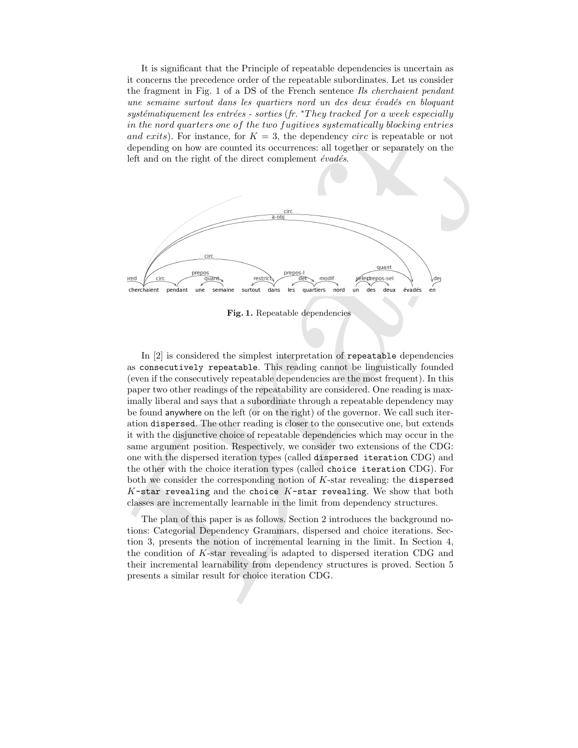It is significant that the Principle of repeatable dependencies is uncertain as it concerns the precedence order of the repeatable subordinates. Let us consider the fragment in Fig. 1 of a DS of the French sentence Ils cherchaient pendant une semaine surtout dans les quartiers nord un des deux évadés en bloquant  $systématiquement$  les entrées - sorties (fr. \*They tracked for a week especially in the nord quarters one of the two fugitives systematically blocking entries and exits). For instance, for  $K = 3$ , the dependency circ is repeatable or not depending on how are counted its occurrences: all together or separately on the left and on the right of the direct complement  $\acute{e}vad\acute{e}s$ .



Fig. 1. Repeatable dependencies

and extris), for instance, for  $K = 3$ , the dependence circ is repeatable or not and extris). For instance, for  $K = 3$ , the dependence circ is repeatable or not depending on how are counted its occurrences all together or In [2] is considered the simplest interpretation of repeatable dependencies as consecutively repeatable. This reading cannot be linguistically founded (even if the consecutively repeatable dependencies are the most frequent). In this paper two other readings of the repeatability are considered. One reading is maximally liberal and says that a subordinate through a repeatable dependency may be found anywhere on the left (or on the right) of the governor. We call such iteration dispersed. The other reading is closer to the consecutive one, but extends it with the disjunctive choice of repeatable dependencies which may occur in the same argument position. Respectively, we consider two extensions of the CDG: one with the dispersed iteration types (called dispersed iteration CDG) and the other with the choice iteration types (called choice iteration CDG). For both we consider the corresponding notion of K-star revealing: the dispersed K-star revealing and the choice  $K$ -star revealing. We show that both classes are incrementally learnable in the limit from dependency structures.

The plan of this paper is as follows. Section 2 introduces the background notions: Categorial Dependency Grammars, dispersed and choice iterations. Section 3, presents the notion of incremental learning in the limit. In Section 4, the condition of K-star revealing is adapted to dispersed iteration CDG and their incremental learnability from dependency structures is proved. Section 5 presents a similar result for choice iteration CDG.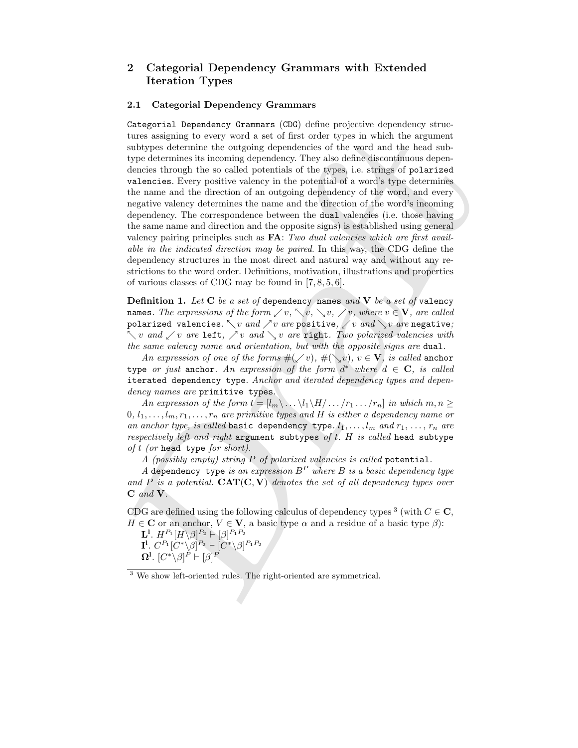## 2 Categorial Dependency Grammars with Extended Iteration Types

#### 2.1 Categorial Dependency Grammars

tures assigning to severy word, a set of first rock, and the argument substrainably<br>no distribution the antigoing dependencies of the word and the head sub-<br>type determines its manifold propositions of the word and the ba Categorial Dependency Grammars (CDG) define projective dependency structures assigning to every word a set of first order types in which the argument subtypes determine the outgoing dependencies of the word and the head subtype determines its incoming dependency. They also define discontinuous dependencies through the so called potentials of the types, i.e. strings of polarized valencies. Every positive valency in the potential of a word's type determines the name and the direction of an outgoing dependency of the word, and every negative valency determines the name and the direction of the word's incoming dependency. The correspondence between the dual valencies (i.e. those having the same name and direction and the opposite signs) is established using general valency pairing principles such as **FA**: Two dual valencies which are first available in the indicated direction may be paired. In this way, the CDG define the dependency structures in the most direct and natural way and without any restrictions to the word order. Definitions, motivation, illustrations and properties of various classes of CDG may be found in [7, 8, 5, 6].

**Definition 1.** Let  $C$  be a set of dependency names and  $V$  be a set of valency names. The expressions of the form  $\swarrow v, \searrow v, \searrow v, \searrow v$ , where  $v \in V$ , are called polarized valencies.  $\searrow v$  and  $\nearrow v$  are positive,  $\swarrow v$  and  $\searrow v$  are negative;  $\searrow v$  and  $\swarrow v$  are left,  $\nearrow v$  and  $\searrow v$  are right. Two polarized valencies with the same valency name and orientation, but with the opposite signs are dual.

An expression of one of the forms  $\#(\swarrow v), \#(\searrow v), v \in \mathbf{V}$ , is called anchor type or just anchor. An expression of the form  $d^*$  where  $d \in \mathbf{C}$ , is called iterated dependency type. Anchor and iterated dependency types and dependency names are primitive types.

An expression of the form  $t = [l_m \backslash ... \backslash l_1 \backslash H / ... /r_1 ... /r_n]$  in which  $m, n \geq$  $0, l_1, \ldots, l_m, r_1, \ldots, r_n$  are primitive types and H is either a dependency name or an anchor type, is called basic dependency type.  $l_1, \ldots, l_m$  and  $r_1, \ldots, r_n$  are respectively left and right argument subtypes of  $t$ .  $H$  is called head subtype of  $t$  (or head type for short).

A (possibly empty) string P of polarized valencies is called potential.

A dependency type is an expression  $B^P$  where B is a basic dependency type and P is a potential.  $CAT(C, V)$  denotes the set of all dependency types over C and V.

CDG are defined using the following calculus of dependency types <sup>3</sup> (with  $C \in \mathbb{C}$ ,  $H \in \mathbf{C}$  or an anchor,  $V \in \mathbf{V}$ , a basic type  $\alpha$  and a residue of a basic type  $\beta$ ):

 $\mathbf{L}^{\mathbf{l}}.\; H^{P_1}[H\backslash\beta]^{P_2}\vdash [\beta]^{P_1P_2}$  $\mathbf{I}^{\mathbf{l}}$ .  $C^{P_1}[C^*\backslash \beta]^{P_2} \vdash [C^*\backslash \beta]^{P_1P_2}$  $\Omega^{\mathbf{l}}.\,\left[C^*\backslash\beta\right]^{P}\,\vdash[\beta]^{P}$ 

<sup>3</sup> We show left-oriented rules. The right-oriented are symmetrical.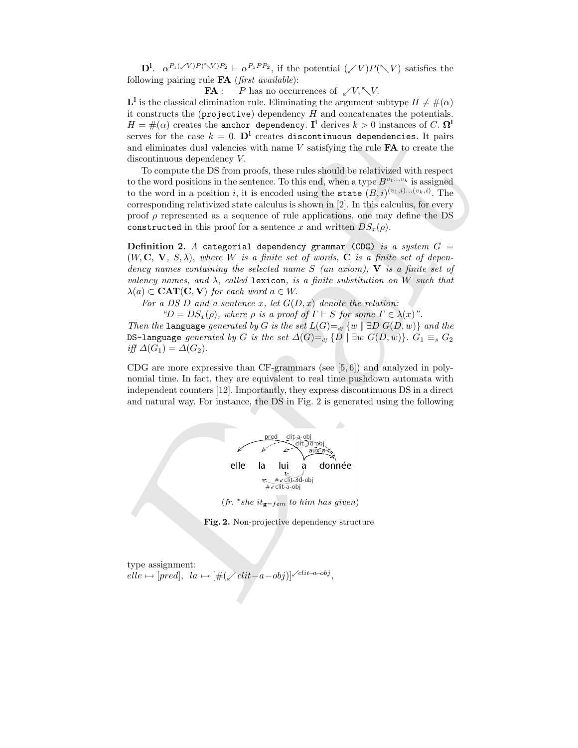$\mathbf{D}^{\mathbf{l}}$ .  $\alpha^{P_1(\sqrt{V})P(\sqrt{V})P_2} \vdash \alpha^{P_1PP_2}$ , if the potential  $(\sqrt{V})P(\sqrt{V})$  satisfies the following pairing rule  $FA$  (first available):

**FA** : P has no occurrences of  $\swarrow V, \nwarrow V$ .

 $\mathbf{L}^1$  is the classical elimination rule. Eliminating the argument subtype  $H \neq \#(\alpha)$ it constructs the  $(projective)$  dependency  $H$  and concatenates the potentials.  $H = \#(\alpha)$  creates the anchor dependency. I<sup>1</sup> derives  $k > 0$  instances of C.  $\Omega^1$ serves for the case  $k = 0$ . D<sup>1</sup> creates discontinuous dependencies. It pairs and eliminates dual valencies with name  $V$  satisfying the rule  $FA$  to create the discontinuous dependency V.

serves for the case  $k = 0$ . DP creates that<br>continuous dependencies. It pairs and eliminates dual valencies with name<br> $V$  satisfying the rule  $kN$  to create the discontinuous dependence<br>of the continuous dependence of the To compute the DS from proofs, these rules should be relativized with respect to the word positions in the sentence. To this end, when a type  $B^{v_1...v_k}$  is assigned to the word in a position i, it is encoded using the state  $(B, i)^{(v_1, i) \dots (v_k, i)}$ . The corresponding relativized state calculus is shown in [2]. In this calculus, for every proof  $\rho$  represented as a sequence of rule applications, one may define the DS constructed in this proof for a sentence x and written  $DS_x(\rho)$ .

**Definition 2.** A categorial dependency grammar (CDG) is a system  $G =$  $(W, \mathbf{C}, \mathbf{V}, S, \lambda)$ , where W is a finite set of words,  $\mathbf{C}$  is a finite set of dependency names containing the selected name  $S$  (an axiom),  $\bf{V}$  is a finite set of valency names, and  $\lambda$ , called lexicon, is a finite substitution on W such that  $\lambda(a) \subset \text{CAT}(C, V)$  for each word  $a \in W$ .

For a DS D and a sentence x, let  $G(D, x)$  denote the relation:

" $D = DS_x(\rho)$ , where  $\rho$  is a proof of  $\Gamma \vdash S$  for some  $\Gamma \in \lambda(x)$ ".

Then the language generated by G is the set  $L(G) =$ <sub>df</sub>  $\{w \mid \exists D G(D, w)\}$  and the DS-language generated by G is the set  $\Delta(G) =$ <sub>df</sub>  $\{D \mid \exists w \ G(D, w)\}\$ .  $G_1 \equiv_s G_2$ iff  $\Delta(G_1) = \Delta(G_2)$ .

CDG are more expressive than CF-grammars (see [5, 6]) and analyzed in polynomial time. In fact, they are equivalent to real time pushdown automata with independent counters [12]. Importantly, they express discontinuous DS in a direct and natural way. For instance, the DS in Fig. 2 is generated using the following



 $(fr. * she it_{g=rem} to him has given)$ 

Fig. 2. Non-projective dependency structure

type assignment:  $elle \mapsto [pred], \ \ la \mapsto [\#(\swarrow clit-a-obj)]^{\swarrow clit-a-obj},$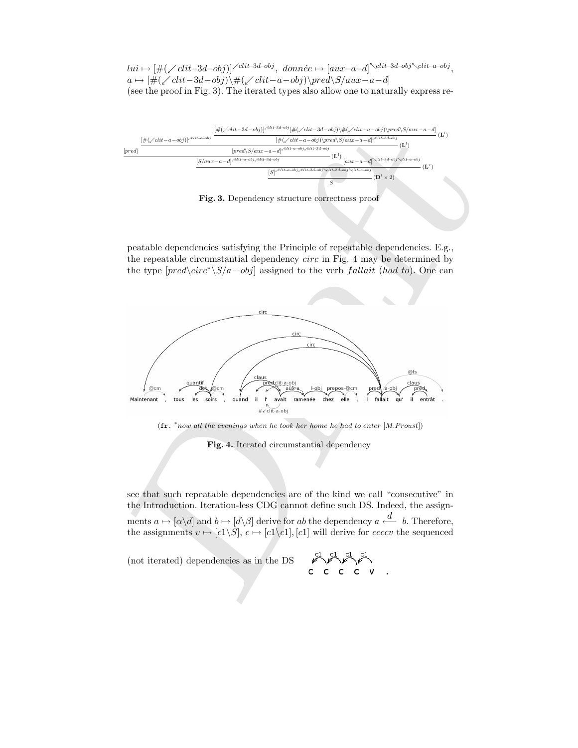$lui \mapsto [\#(\swarrow \text{clit}-3d-\text{obj})]^{\swarrow \text{clit}-3d-\text{obj}}, \; \text{donnée} \mapsto [\text{aux}-a-d]^\nwarrow \text{clit}-3d-\text{obj}^\nwarrow \text{clit}-a-\text{obj},$  $a \mapsto [\#(\angle \text{clit}-3d-\text{obj})\backslash \#(\angle \text{clit}-a-\text{obj})\backslash \text{pred}\backslash S/aux-a-d]$ (see the proof in Fig. 3). The iterated types also allow one to naturally express re-



Fig. 3. Dependency structure correctness proof

peatable dependencies satisfying the Principle of repeatable dependencies. E.g., the repeatable circumstantial dependency circ in Fig. 4 may be determined by the type  $[pred\circorner c<sup>*</sup>\S/a-obj]$  assigned to the verb fallait (had to). One can





Fig. 4. Iterated circumstantial dependency

see that such repeatable dependencies are of the kind we call "consecutive" in the Introduction. Iteration-less CDG cannot define such DS. Indeed, the assignments  $a \mapsto [\alpha \backslash d]$  and  $b \mapsto [d \backslash \beta]$  derive for ab the dependency  $a \stackrel{d}{\longleftarrow} b$ . Therefore, the assignments  $v \mapsto [c1\backslash S], c \mapsto [c1\backslash c1], [c1]$  will derive for *ccccv* the sequenced

(not iterated) dependencies as in the DS

$$
\mathcal{C}^1 \mathcal{C}^1 \mathcal{C}^1
$$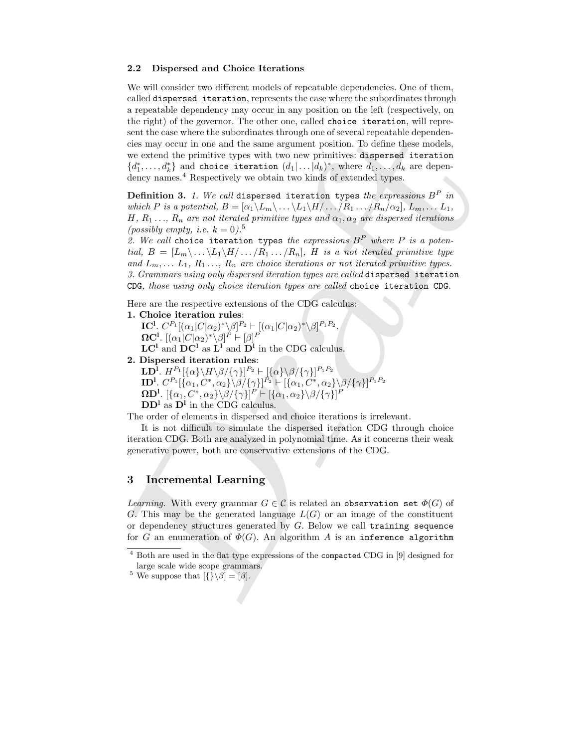#### 2.2 Dispersed and Choice Iterations

sent the case where the subordinates through but on of several repeatable dependent<br>of some operator in one and the same argument position. To define these models,<br>we estend the primitive type with two new primitives dapa We will consider two different models of repeatable dependencies. One of them, called dispersed iteration, represents the case where the subordinates through a repeatable dependency may occur in any position on the left (respectively, on the right) of the governor. The other one, called choice iteration, will represent the case where the subordinates through one of several repeatable dependencies may occur in one and the same argument position. To define these models, we extend the primitive types with two new primitives: dispersed iteration  ${d_1^*, \ldots, d_k^*}$  and choice iteration  $(d_1 | \ldots | d_k)^*$ , where  $d_1, \ldots, d_k$  are dependency names.<sup>4</sup> Respectively we obtain two kinds of extended types.

**Definition 3.** 1. We call dispersed iteration types the expressions  $B^P$  in which P is a potential,  $B = [\alpha_1 \setminus L_m \setminus \ldots \setminus L_1 \setminus H / \ldots / R_1 \ldots / R_n / \alpha_2], L_m, \ldots L_1$ , H,  $R_1 \ldots, R_n$  are not iterated primitive types and  $\alpha_1, \alpha_2$  are dispersed iterations (possibly empty, i.e.  $k = 0$ ).<sup>5</sup>

2. We call choice iteration types the expressions  $B^P$  where P is a potential,  $B = [L_m \backslash ... \backslash L_1 \backslash H / ... / R_1 ... / R_n]$ , H is a not iterated primitive type and  $L_m, \ldots, L_1, R_1, \ldots, R_n$  are choice iterations or not iterated primitive types. 3. Grammars using only dispersed iteration types are called dispersed iteration CDG, those using only choice iteration types are called choice iteration CDG.

Here are the respective extensions of the CDG calculus:

#### 1. Choice iteration rules:

**IC<sup>1</sup>**.  $C^{P_1}[(\alpha_1|C|\alpha_2)^*\backslash\beta]^{P_2} \vdash [(\alpha_1|C|\alpha_2)^*\backslash\beta]^{P_1P_2}$ .  $\boldsymbol{\Omega} \textbf{C}^{\text{l}}$ .  $[(\alpha_1|C|\alpha_2)^* \backslash \beta]^P \vdash [\beta]^P$ 

 $LC<sup>1</sup>$  and  $DC<sup>1</sup>$  as  $L<sup>1</sup>$  and  $D<sup>1</sup>$  in the CDG calculus.

2. Dispersed iteration rules:

 ${\rm\bf LD}^{\overline{\rm l}}.\; H^{P_1}[\{\alpha\} \backslash H \backslash \beta/\{\gamma\}]^{P_2} \vdash [\{\alpha\} \backslash \beta/\{\gamma\}]^{P_1P_2}$  ${\bf ID}^1. \; C^{P_1}[\stackrel{\cdot}{\{\alpha_1, C^*,\alpha_2\}}\stackrel{\cdot}{\backslash} \beta/\{\gamma\}]^{\stackrel{\cdot}{P_2}} \vdash [\stackrel{\cdot}{\{\alpha_1, C^*,\alpha_2\}}\backslash \beta/\{\gamma\}]^{P_1P_2}$  $\Omega \mathbf{D}^{\mathbf{l}}$ .  $[\{\alpha_1, C^*, \alpha_2\} \backslash \beta / \{\gamma\}]^P \vdash [\{\alpha_1, \alpha_2\} \backslash \beta / \{\gamma\}]^P$  $DD<sup>1</sup>$  as  $D<sup>1</sup>$  in the CDG calculus.

The order of elements in dispersed and choice iterations is irrelevant.

It is not difficult to simulate the dispersed iteration CDG through choice iteration CDG. Both are analyzed in polynomial time. As it concerns their weak generative power, both are conservative extensions of the CDG.

## 3 Incremental Learning

*Learning.* With every grammar  $G \in \mathcal{C}$  is related an observation set  $\Phi(G)$  of G. This may be the generated language  $L(G)$  or an image of the constituent or dependency structures generated by  $G$ . Below we call training sequence for G an enumeration of  $\Phi(G)$ . An algorithm A is an inference algorithm

<sup>4</sup> Both are used in the flat type expressions of the compacted CDG in [9] designed for large scale wide scope grammars.

<sup>&</sup>lt;sup>5</sup> We suppose that  $[\{\}\setminus \beta] = [\beta]$ .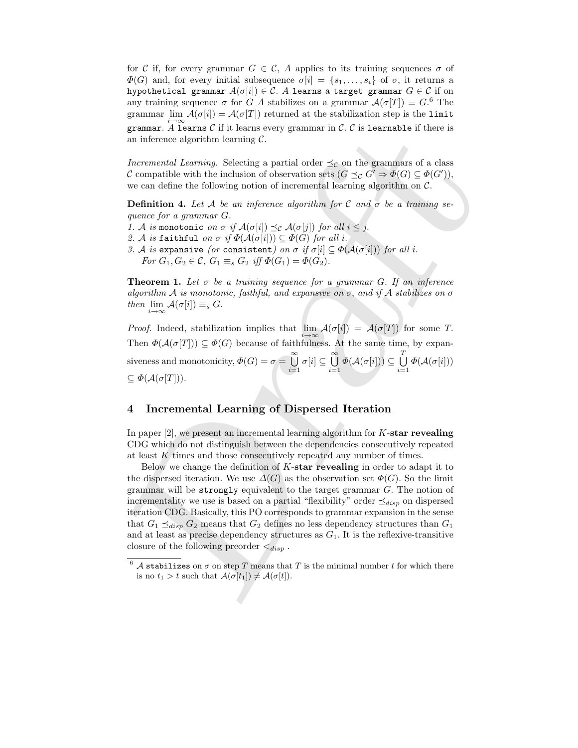for C if, for every grammar  $G \in \mathcal{C}$ , A applies to its training sequences  $\sigma$  of  $\Phi(G)$  and, for every initial subsequence  $\sigma[i] = \{s_1, \ldots, s_i\}$  of  $\sigma$ , it returns a hypothetical grammar  $A(\sigma[i]) \in \mathcal{C}$ . A learns a target grammar  $G \in \mathcal{C}$  if on any training sequence  $\sigma$  for G A stabilizes on a grammar  $\mathcal{A}(\sigma[T]) \equiv G$ <sup>6</sup>. The grammar lim  $\mathcal{A}(\sigma[i]) = \mathcal{A}(\sigma[T])$  returned at the stabilization step is the limit grammar. A learns C if it learns every grammar in C. C is learnable if there is an inference algorithm learning  $\mathcal{C}$ .

Incremental Learning. Selecting a partial order  $\preceq_{\mathcal{C}}$  on the grammars of a class C compatible with the inclusion of observation sets  $(G \preceq_{\mathcal{C}} G' \Rightarrow \Phi(G) \subseteq \Phi(G'))$ , we can define the following notion of incremental learning algorithm on  $\mathcal{C}$ .

**Definition 4.** Let A be an inference algorithm for C and  $\sigma$  be a training sequence for a grammar G.

1. A is monotonic on  $\sigma$  if  $\mathcal{A}(\sigma[i]) \preceq_{\mathcal{C}} \mathcal{A}(\sigma[j])$  for all  $i \leq j$ . 2. A is faithful on  $\sigma$  if  $\Phi(\mathcal{A}(\sigma[i])) \subseteq \Phi(G)$  for all i. 3. A is expansive (or consistent) on  $\sigma$  if  $\sigma[i] \subseteq \Phi(A(\sigma[i]))$  for all i. For  $G_1, G_2 \in \mathcal{C}, G_1 \equiv_s G_2$  iff  $\Phi(G_1) = \Phi(G_2)$ .

**Theorem 1.** Let  $\sigma$  be a training sequence for a grammar G. If an inference algorithm A is monotonic, faithful, and expansive on  $\sigma$ , and if A stabilizes on  $\sigma$ then  $\lim_{i \to \infty} \mathcal{A}(\sigma[i]) \equiv_s G$ .

*Proof.* Indeed, stabilization implies that  $\lim_{i \to \infty} \mathcal{A}(\sigma[i]) = \mathcal{A}(\sigma[T])$  for some T. Then  $\Phi(A(\sigma[T])) \subseteq \Phi(G)$  because of faithfulness. At the same time, by expansiveness and monotonicity,  $\Phi(G) = \sigma = \bigcup_{n=0}^{\infty}$  $i=1$  $\sigma[i] \subseteq \bigcup^{\infty}$  $i=1$  $\varPhi(\mathcal{A}(\sigma[i]))\subseteq\bigcup^{T}%\mathcal{A}(\sigma[i])\subseteq\mathcal{A}(\mathcal{A}(\sigma[i]))$  $i=1$  $\varPhi(\mathcal{A}(\sigma[i]))$  $\subseteq \Phi(\mathcal{A}(\sigma[T]))$ .

### 4 Incremental Learning of Dispersed Iteration

In paper  $[2]$ , we present an incremental learning algorithm for K-star revealing CDG which do not distinguish between the dependencies consecutively repeated at least K times and those consecutively repeated any number of times.

grammar A lower<br>of Cit it fears every grammar in C, C is isomated if there is an inference algorithm learning C,<br>  $R$  computible with the inclusion of observation sets ( $\vec{S} \leq \vec{G}^* \Rightarrow \vec{G}(\vec{G})^* = \vec{G}(\vec{G}^*)$ ,<br>  $\vec{C$ Below we change the definition of  $K$ -star revealing in order to adapt it to the dispersed iteration. We use  $\Delta(G)$  as the observation set  $\Phi(G)$ . So the limit grammar will be strongly equivalent to the target grammar  $G$ . The notion of incrementality we use is based on a partial "flexibility" order  $\preceq_{disp}$  on dispersed iteration CDG. Basically, this PO corresponds to grammar expansion in the sense that  $G_1 \preceq_{disp} G_2$  means that  $G_2$  defines no less dependency structures than  $G_1$ and at least as precise dependency structures as  $G_1$ . It is the reflexive-transitive closure of the following preorder  $\lt_{disp}$ .

 $^6$  A stabilizes on  $\sigma$  on step T means that T is the minimal number t for which there is no  $t_1 > t$  such that  $\mathcal{A}(\sigma[t_1]) \neq \mathcal{A}(\sigma[t])$ .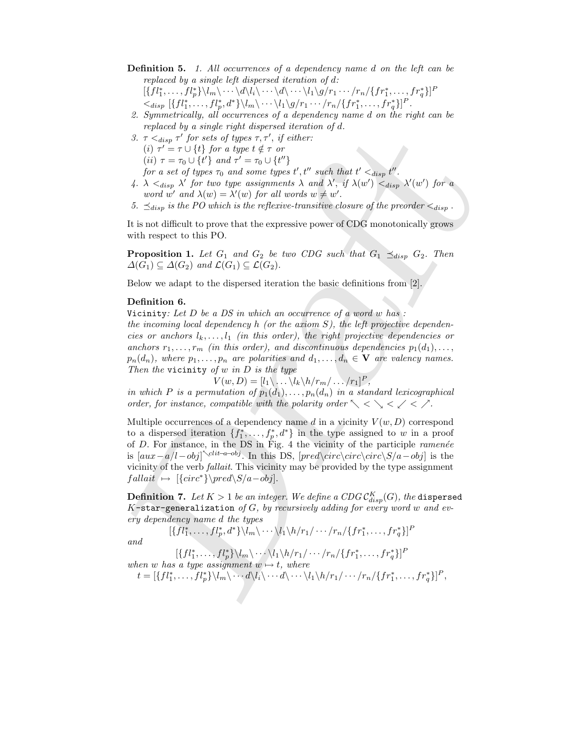**Definition 5.** 1. All occurrences of a dependency name d on the left can be replaced by a single left dispersed iteration of d:

 $[\{fl_1^*,\ldots,fl_p^*\}\backslash l_m\backslash\cdots\backslash d\backslash l_i\backslash\cdots\backslash d\backslash\cdots\backslash l_1\backslash g/r_1\cdots/r_n/\{fr_1^*,\ldots,fr_q^*\}]^F$  $\langle \langle f | \{f l_1^*, \ldots, f l_p^*, d^* \} \rangle \langle l_m \rangle \cdots \langle l_1 \rangle g / r_1 \cdots / r_n / \{f r_1^*, \ldots, f r_q^* \} \rangle^P.$ 

- 2. Symmetrically, all occurrences of a dependency name d on the right can be replaced by a single right dispersed iteration of d.
- 3.  $\tau \leq_{disp} \tau'$  for sets of types  $\tau, \tau'$ , if either: (i)  $\tau' = \tau \cup \{t\}$  for a type  $t \notin \tau$  or (*ii*)  $\tau = \tau_0 \cup \{t'\}$  and  $\tau' = \tau_0 \cup \{t''\}$ for a set of types  $\tau_0$  and some types  $t', t''$  such that  $t' <_{disp} t''$ .
- 4.  $\lambda \lt_{disp} \lambda'$  for two type assignments  $\lambda$  and  $\lambda'$ , if  $\lambda(w') \lt_{disp} \lambda'(w')$  for a word w' and  $\lambda(w) = \lambda'(w)$  for all words  $w \neq w'$ .
- 5.  $\preceq_{disp}$  is the PO which is the reflexive-transitive closure of the preorder  $\lt_{disp}$ .

It is not difficult to prove that the expressive power of CDG monotonically grows with respect to this PO.

**Proposition 1.** Let  $G_1$  and  $G_2$  be two CDG such that  $G_1 \preceq_{disp} G_2$ . Then  $\Delta(G_1) \subseteq \Delta(G_2)$  and  $\mathcal{L}(G_1) \subseteq \mathcal{L}(G_2)$ .

Below we adapt to the dispersed iteration the basic definitions from [2].

## Definition 6.

Vicinity: Let  $D$  be a  $DS$  in which an occurrence of a word  $w$  has:

the incoming local dependency h (or the axiom  $S$ ), the left projective dependencies or anchors  $l_k, \ldots, l_1$  (in this order), the right projective dependencies or anchors  $r_1, \ldots, r_m$  (in this order), and discontinuous dependencies  $p_1(d_1), \ldots,$  $p_n(d_n)$ , where  $p_1, \ldots, p_n$  are polarities and  $d_1, \ldots, d_n \in \mathbf{V}$  are valency names. Then the vicinity of  $w$  in  $D$  is the type

$$
V(w, D) = [l_1 \backslash \ldots \backslash l_k \backslash h / r_m / \ldots / r_1]^P,
$$

in which P is a permutation of  $p_1(d_1), \ldots, p_n(d_n)$  in a standard lexicographical order, for instance, compatible with the polarity order  $\searrow$   $\lt \searrow$   $\lt \lt \nearrow$ .

Presence of a state from two<br>presence and universal contents of  $\alpha$ . For  $\alpha_{\text{top}} = f$  for stellar<br>
(b)  $\tau = \tau_0 (1/\beta)$  for a type of the rest of a state  $\tau$ , if  $\alpha$  is<br>
(b)  $\tau = \tau_0 (1/\beta)$  for a denote the presence of th Multiple occurrences of a dependency name d in a vicinity  $V(w, D)$  correspond to a dispersed iteration  $\{f_1^*, \ldots, f_p^*, d^*\}$  in the type assigned to w in a proof of  $D$ . For instance, in the DS in Fig. 4 the vicinity of the participle *ramenée* is  $[aux-a/l-obj] \leftarrow$ clit–a–obj. In this DS,  $[pred\setminus circ\setminus circ\setminus circ \setminus S/a - obj]$  is the vicinity of the verb fallait. This vicinity may be provided by the type assignment  $fallait \rightarrow [\{circ^*\}\pred\S/a-obj].$ 

 $\bf{Definition 7.}$   $\emph{Let}$   $K>1$  be an integer. We define a  $CDG$   $\mathcal{C}_{disp}^K(G),$  the <code>dispersed</code> K-star-generalization of  $G$ , by recursively adding for every word w and every dependency name d the types

$$
[\{f_l^*,\ldots,f_l^*,d^*\}\backslash l_m\backslash\cdots\backslash l_1\backslash h/r_1/\cdots/r_n/\{fr_1^*,\ldots,f_r^*\}^P
$$

and

 $[\{fl_1^*,\ldots,fl_p^*\}\backslash l_m\backslash\cdots\backslash l_1\backslash h/r_1/\cdots/r_n/\{fr_1^*,\ldots,fr_q^*\}]^F$ when w has a type assignment  $w \mapsto t$ , where

 $t = [\{fl_1^*, \ldots, fl_p^*\}\setminus l_m\setminus \cdots d\setminus l_i\setminus \cdots d\setminus \cdots\setminus l_1\setminus h/r_1/\cdots/r_n/\{fr_1^*, \ldots, fr_q^*\}]^P,$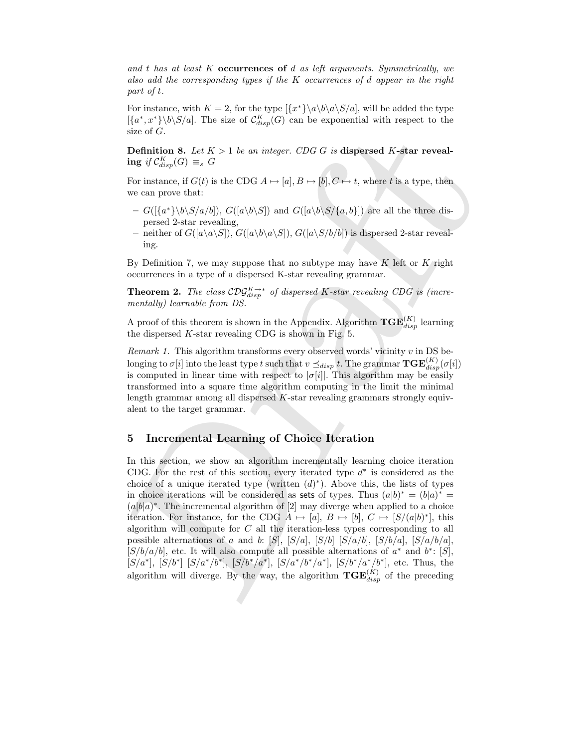and t has at least K occurrences of d as left arguments. Symmetrically, we also add the corresponding types if the K occurrences of d appear in the right part of t.

For instance, with  $K = 2$ , for the type  $\frac{\{\{x^*\}}{a}\b\alpha\}$ , will be added the type  $\{\{a^*,x^*\}\setminus b\setminus S/a\}$ . The size of  $\mathcal{C}_{disp}^K(G)$  can be exponential with respect to the size of G.

**Definition 8.** Let  $K > 1$  be an integer. CDG G is dispersed K-star reveal- $\text{ing } \text{ if } \mathcal{C}^K_{disp}(G) \equiv_s G$ 

For instance, if  $G(t)$  is the CDG  $A \mapsto [a], B \mapsto [b], C \mapsto t$ , where t is a type, then we can prove that:

- $-G([{a^*}\b\&S/a/b]), G([a\b\&S])$  and  $G([a\b\&S/\{a, b\}])$  are all the three dispersed 2-star revealing,
- neither of  $G([a\setminus a\setminus S]), G([a\setminus b\setminus a\setminus S]), G([a\setminus S/b/b])$  is dispersed 2-star revealing.

By Definition 7, we may suppose that no subtype may have  $K$  left or  $K$  right occurrences in a type of a dispersed K-star revealing grammar.

**Theorem 2.** The class  $\mathcal{C}D\mathcal{G}_{disp}^{K\to*}$  of dispersed K-star revealing CDG is (incrementally) learnable from DS.

A proof of this theorem is shown in the Appendix. Algorithm  $\mathbf{TGE}_{disp}^{(K)}$  learning the dispersed K-star revealing CDG is shown in Fig. 5.

*Remark 1.* This algorithm transforms every observed words' vicinity  $v$  in DS belonging to  $\sigma[i]$  into the least type t such that  $v \preceq_{disp} t$ . The grammar  $\mathbf{TGE}^{(K)}_{disp}(\sigma[i])$ is computed in linear time with respect to  $|\sigma[i]|$ . This algorithm may be easily transformed into a square time algorithm computing in the limit the minimal length grammar among all dispersed K-star revealing grammars strongly equivalent to the target grammar.

## 5 Incremental Learning of Choice Iteration

size of *G*.<br>
Definition 8. Let  $K > 1$  be an integer. CDG *G* is dispersed *K*-star reveal-<br>
Definition 8. Let  $K > 1$  be an integer. CDG *G* is dispersed *K*-star reveal-<br>
ing  $y(C_{n,p}^k(G)) = e$ <br>
For instance, if  $G(t)$  is the In this section, we show an algorithm incrementally learning choice iteration CDG. For the rest of this section, every iterated type  $d^*$  is considered as the choice of a unique iterated type (written  $(d)^*$ ). Above this, the lists of types in choice iterations will be considered as sets of types. Thus  $(a|b)^* = (b|a)^* =$  $(a|b|a)^*$ . The incremental algorithm of [2] may diverge when applied to a choice iteration. For instance, for the CDG  $A \mapsto [a], B \mapsto [b], C \mapsto [S/(a|b)^*],$  this algorithm will compute for C all the iteration-less types corresponding to all possible alternations of a and b: [S], [S/a], [S/b] [S/a/b], [S/b/a], [S/a/b/a],  $[S/b/a/b]$ , etc. It will also compute all possible alternations of  $a^*$  and  $b^*$ : [S],  $[S/a^*], [S/b^*], [S/a^*/b^*], [S/a^*/b^*/a^*], [S/b^*/a^*/b^*],$  etc. Thus, the algorithm will diverge. By the way, the algorithm  $TGE_{disp}^{(K)}$  of the preceding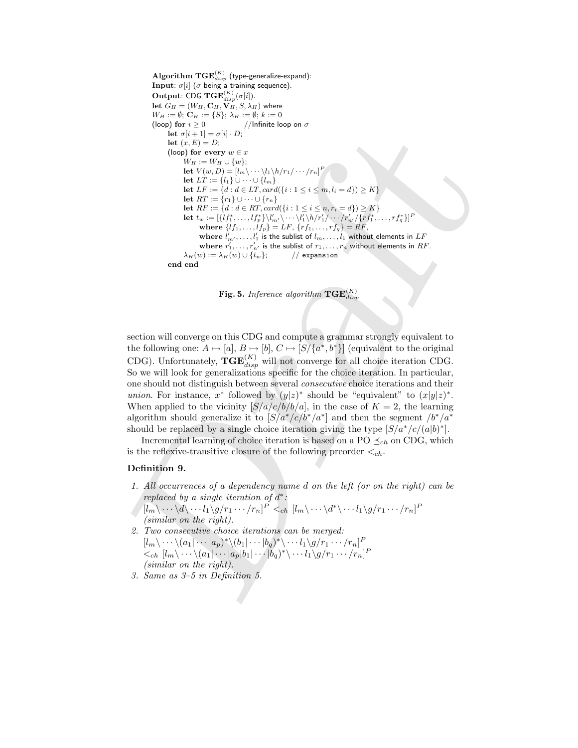Let  $(x, E) = P(x) \cdot P(x)$ <br>
Let  $(x, E) = P(x)$ <br>  $(\log \log \log x \log x) = x$ <br>  $(\log x - \log x \log x) = x$ <br>
Let  $xE = \log (1 + x)$ ,  $(\log x - \log x)$ <br>
Let  $E = \{x : \log x \mid \log x \leq 1\}$ <br>
Let  $E = \{x : \log x \mid \log x \leq 1\}$ <br>
Let  $E = \{x : \log x \mid \log x \leq 1\}$ <br>
Let  $E = \{x : \log x \mid \log x \leq 1\}$ ,  $(\log x$  $\mathbf{Algorithm~TGE}^{(K)}_{disp}$  (type-generalize-expand): Input:  $\sigma[i]$  ( $\sigma$  being a training sequence). **Output:** CDG  $\mathbf{TGE}_{disp}^{(K)}(\sigma[i])$ . let  $G_H = (W_H, \mathbf{C}_H, \mathbf{V}_H, S, \lambda_H)$  where  $W_H := \emptyset; \mathbf{C}_H := \{S\}; \, \lambda_H := \emptyset; \, k := 0$ (loop) for  $i \geq 0$  //Infinite loop on  $\sigma$ let  $\sigma[i+1] = \sigma[i] \cdot D;$ let  $(x, E) = D$ ; (loop) for every  $w \in x$  $W_H := W_H \cup \{w\};$ let  $V(w, D) = [l_m \backslash \cdots \backslash l_1 \backslash h/r_1 / \cdots]$ P let  $LT := \{l_1\} ∪ ⋯ ∪ \{l_m\}$ let  $LF := \{d : d \in LT, card({i : 1 \le i \le m, l_i = d\}) \ge K\}$ let  $RT := \{r_1\} \cup \cdots \cup \{r_n\}$ let  $RF := \{d : d \in RT, card(\{i : 1 \leq i \leq n, r_i = d\}) \geq K\}$  ${\bf let} \,\, t_w := [\{lf_1^*, \ldots, lf_r^* \} \backslash l'_m \backslash \cdots \backslash l'_1 \backslash h / r'_1 / \cdots / r'_{n'}/ \{rf_1^*, \ldots, rf_q^* \}$  $_{q}^{*}\}]$ P where  ${l f_1, \ldots, l f_p} = L F, \{r f_1, \ldots, r f_q\} = R F$ , where  $l'_m,\ldots,l'_1$  is the sublist of  $l_m,\ldots,l_1$  without elements in  $LF$ where  $r'_1, \ldots, r'_{n'}$  is the sublist of  $r_1, \ldots, r_n$  without elements in  $RF.$  $\lambda_H(w) := \lambda_H(w) \cup \{t_w\};$  // expansion end end

 ${\bf Fig. 5.}$  *Inference algorithm*  ${\bf TGE}_{disp}^{(K)}$ 

section will converge on this CDG and compute a grammar strongly equivalent to the following one:  $A \mapsto [a], B \mapsto [b], C \mapsto [S/(a^*, b^*)]$  (equivalent to the original CDG). Unfortunately,  $TGE_{disp}^{(K)}$  will not converge for all choice iteration CDG. So we will look for generalizations specific for the choice iteration. In particular, one should not distinguish between several consecutive choice iterations and their *union*. For instance,  $x^*$  followed by  $(y|z)^*$  should be "equivalent" to  $(x|y|z)^*$ . When applied to the vicinity  $[S/a/c/b/b/a]$ , in the case of  $K = 2$ , the learning algorithm should generalize it to  $[S/a^*/c/b^*/a^*]$  and then the segment  $/b^*/a^*$ should be replaced by a single choice iteration giving the type  $[S/a^*/c/(a|b)^*]$ .

Incremental learning of choice iteration is based on a PO  $\preceq_{ch}$  on CDG, which is the reflexive-transitive closure of the following preorder  $\langle c_h$ .

#### Definition 9.

- 1. All occurrences of a dependency name d on the left (or on the right) can be replaced by a single iteration of  $d^*$ :  $[l_m\backslash \cdots \backslash d \backslash \cdots l_1 \backslash g/r_1 \cdots/r_n]^P <_{ch} [l_m\backslash \cdots \backslash d^* \backslash \cdots l_1 \backslash g/r_1 \cdots/r_n]^P$
- (similar on the right). 2. Two consecutive choice iterations can be merged:  $[l_m\backslash \cdots \backslash (a_1|\cdots |a_p)^*\backslash (b_1|\cdots |b_q)^*\backslash \cdots l_1\backslash g/r_1\cdots/r_n]^F$  $\langle \langle \cdot \rangle_{ch} [l_m \rangle \cdots \rangle (a_1 | \cdots | a_p | b_1 | \cdots | b_q )^* \rangle \cdots l_1 \rangle g/r_1 \cdots /r_n]^P$ (similar on the right).
- 3. Same as 3–5 in Definition 5.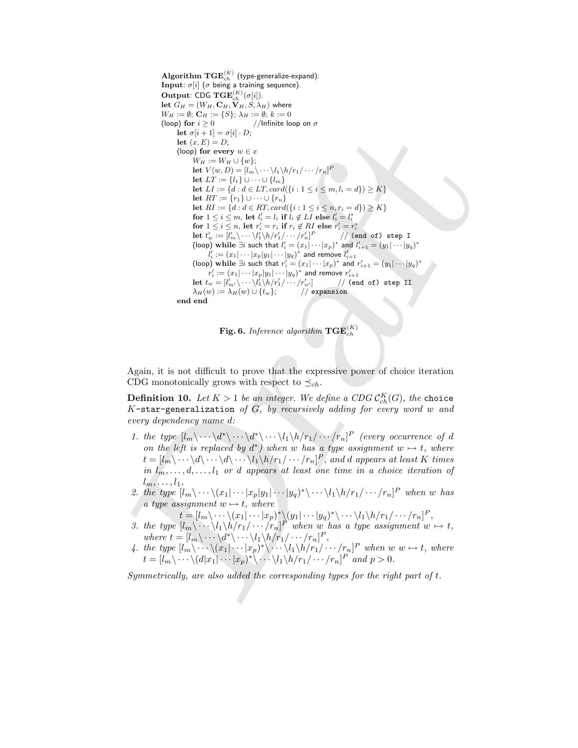if eq.(i.1) =  $D_1 \cdot D_2 \cdot D_3 = 0$ <br>
(less) for every  $x = x$ <br>
(less) for every  $x = 0$ <br>
(less)  $D_1 \cdot D_2 \cdot D_3 \cdot D_4 \cdot D_5 = 0$ <br>
less  $D_1 \cdot D_2 \cdot D_3 \cdot D_4 \cdot D_5 = 0$ <br>
less  $D_1 \cdot D_2 \cdot D_3 \cdot D_4 \cdot D_5 = 0$ <br>
less  $D_1 \cdot D_2 \cdot D_3 \cdot D_4 \cdot D_5 =$  $\mathbf{Algorithm~TGE}^{(K)}_{ch}$  (type-generalize-expand): **Input**:  $\sigma[i]$  ( $\sigma$  being a training sequence). **Output:** CDG  $\mathbf{TGE}_{ch}^{(K)}(\sigma[i])$ . let  $G_H = (W_H, \mathbf{C}_H, \mathbf{V}_H, S, \lambda_H)$  where  $W_H := \emptyset; \mathbf{C}_H := \{S\}; \, \lambda_H := \emptyset; \, k := 0$ (loop) for  $i \geq 0$  //Infinite loop on  $\sigma$ let  $\sigma[i+1] = \sigma[i] \cdot D;$ let  $(x, E) = D$ ; (loop) for every  $w \in x$  $W_H := W_H \cup \{w\};$ let  $V(w, D) = [l_m \backslash \cdots \backslash l_1 \backslash h/r_1 / \cdots]$ P let  $LT := \{l_1\} ∪ ⋯ ∪ \{l_m\}$ let  $LI := \{d : d \in LT, card(\{i : 1 \le i \le m, l_i = d\}) \ge K\}$ let  $RT := \{r_1\} \cup \cdots \cup \{r_n\}$ let  $RI := \{d : d \in RT, card(\{i : 1 \le i \le n, r_i = d\}) \ge K\}$ for  $1 \leq i \leq m$ , let  $l'_i = l_i$  if  $l_i \notin LI$  else  $l'_i = l_i^*$ for  $1 \leq i \leq n$ , let  $r'_i = r_i$  if  $r_i \notin RI$  else  $r'_i = r_i^*$  $\mathbf{let}\,\, t'_w := [l'_m \backslash \cdots \backslash l'_1 \backslash h / r'_1 / \cdots / r'_n]^P$ // (end of) step I (loop) while  $\exists i$  such that  $l_i' = (x_1| \cdots | x_p)^*$  and  $l_{i+1}' = (y_1| \cdots | y_q)^*$  $l_i':=(x_1|\cdots|x_p|y_1|\cdots|y_q)^*$  and remove  $l_{i+1}'$ (loop) while  $\exists i$  such that  $r'_i = (x_1| \cdots | x_p)^*$  and  $r'_{i+1} = (y_1| \cdots | y_q)^*$  $r'_i := (x_1| \cdots |x_p| y_1 | \cdots |y_q)^*$  and remove  $r'_{i+1}$  $\mathbf{let}\,\, t_{w} = [l'_{m'}\backslash \cdots\backslash l'_{1}\backslash h / r'_{1}/\cdots/r'_{r}$  $\frac{r'_{n'}}{r'}$  // (end of) step II<br>// expansion  $\lambda_H(w) := \lambda_H(w) \cup \{t_w\};$ end end



Again, it is not difficult to prove that the expressive power of choice iteration CDG monotonically grows with respect to  $\preceq_{ch}$ .

**Definition 10.** Let  $K > 1$  be an integer. We define a CDG  $\mathcal{C}^K_{ch}(G)$ , the choice K-star-generalization of  $G$ , by recursively adding for every word w and every dependency name d:

- 1. the type  $[l_m \backslash \cdots \backslash d^* \backslash \cdots \backslash d^* \backslash \cdots \backslash l_1 \backslash h/r_1 / \cdots /r_n]^P$  (every occurrence of d on the left is replaced by  $d^*$ ) when w has a type assignment  $w \mapsto t$ , where  $t=[l_m\backslash \cdots \backslash d \backslash \cdots \backslash d \backslash \cdots \backslash l_1\backslash h/r_1/\cdots/r_n]^P,$  and  $d$  appears at least  $K$  times in  $l_m, \ldots, d, \ldots, l_1$  or d appears at least one time in a choice iteration of  $l_m, \ldots, l_1,$
- 2. the type  $[l_m \backslash \cdots \backslash (x_1 | \cdots |x_p | y_1 | \cdots | y_q)^* \backslash \cdots \backslash l_1 \backslash h / r_1 / \cdots / r_n]^P$  when w has a type assignment  $w \mapsto t$ , where
- $t = [l_m \backslash \cdots \backslash (x_1 | \cdots | x_p)^* \backslash (y_1 | \cdots | y_q)^* \backslash \cdots \backslash l_1 \backslash h / r_1 / \cdots / r_n]^P,$
- 3. the type  $[l_m \backslash \cdots \backslash l_1 \backslash h/r_1 / \cdots /r_n]^P$  when w has a type assignment  $w \mapsto t$ , where  $t = [l_m \backslash \cdots \backslash d^* \backslash \cdots \backslash l_1 \backslash h/r_1 / \cdots /r_n]^P$ ,
- 4. the type  $[l_m \backslash \cdots \backslash (x_1 | \cdots | x_p)^* \backslash \cdots \backslash l_1 \backslash h/r_1 / \cdots /r_n]^P$  when  $w \ w \mapsto t$ , where  $t = [l_m \backslash \cdots \backslash (d|x_1|\cdots|x_p)^* \backslash \cdots \backslash l_1\backslash h/r_1/\cdots/r_n]^P$  and  $p > 0$ .

Symmetrically, are also added the corresponding types for the right part of t.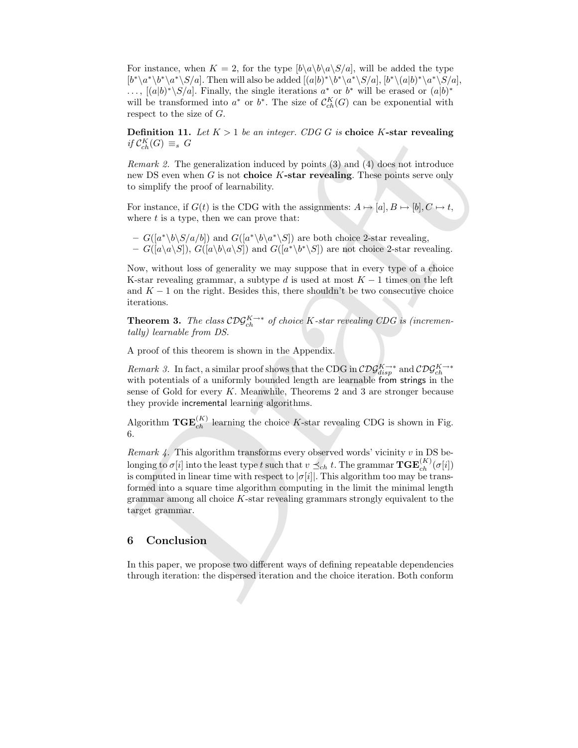For instance, when  $K = 2$ , for the type  $[b\setminus a\setminus b\setminus a\setminus S/a]$ , will be added the type  $[b^*\langle a^*\setminus b^*\rangle a^*\setminus S/a]$ . Then will also be added  $[(a|b)^*\setminus b^*\setminus a^*\setminus S/a]$ ,  $[b^*\setminus (a|b)^*\setminus a^*\setminus S/a]$ , ...,  $[(a|b)^*\S/a]$ . Finally, the single iterations  $a^*$  or  $b^*$  will be erased or  $(a|b)^*$ will be transformed into  $a^*$  or  $b^*$ . The size of  $\mathcal{C}^K_{ch}(G)$  can be exponential with respect to the size of G.

**Definition 11.** Let  $K > 1$  be an integer. CDG G is choice K-star revealing if  $C_{ch}^{K}(G) \equiv_{s} G$ 

Remark 2. The generalization induced by points (3) and (4) does not introduce new DS even when  $G$  is not choice  $K$ -star revealing. These points serve only to simplify the proof of learnability.

For instance, if  $G(t)$  is the CDG with the assignments:  $A \mapsto [a], B \mapsto [b], C \mapsto t$ , where  $t$  is a type, then we can prove that:

 $-G([a^*\b\&S/a/b])$  and  $G([a^*\b\&a^*\S])$  are both choice 2-star revealing,  $- G([a\setminus a\setminus S]), G([a\setminus b\setminus a\setminus S])$  and  $G([a^*\setminus b^*\setminus S])$  are not choice 2-star revealing.

Now, without loss of generality we may suppose that in every type of a choice K-star revealing grammar, a subtype d is used at most  $K - 1$  times on the left and  $K - 1$  on the right. Besides this, there shouldn't be two consecutive choice iterations.

**Theorem 3.** The class  $\mathcal{C}\mathcal{D}\mathcal{G}_{ch}^{K\to*}$  of choice K-star revealing CDG is (incrementally) learnable from DS.

A proof of this theorem is shown in the Appendix.

Remark 3. In fact, a similar proof shows that the CDG in  $\mathcal{C}D\mathcal{G}^{K\to *}_{disp}$  and  $\mathcal{C}D\mathcal{G}^{K\to *}_{ch}$ with potentials of a uniformly bounded length are learnable from strings in the sense of Gold for every K. Meanwhile, Theorems 2 and 3 are stronger because they provide incremental learning algorithms.

Algorithm  $TGE_{ch}^{(K)}$  learning the choice K-star revealing CDG is shown in Fig. 6.

**Definition 11.** Let  $K > 1$  be an integer. CDG G is choice K-star revealing<br>
Definition 11. Let  $K > 1$  be an integer. CDG G is choice K-star revealing<br>  $\eta C_{\infty}^{R}(G) = e$  O is our club and (2) points (3) and (4) does not i Remark  $\ddot{A}$ . This algorithm transforms every observed words' vicinity v in DS belonging to  $\sigma[i]$  into the least type  $t$  such that  $v \preceq_{ch} t$ . The grammar  $\mathbf{TGE}_{ch}^{(K)}(\sigma[i])$ is computed in linear time with respect to  $|\sigma[i]|$ . This algorithm too may be transformed into a square time algorithm computing in the limit the minimal length grammar among all choice  $K$ -star revealing grammars strongly equivalent to the target grammar.

## 6 Conclusion

In this paper, we propose two different ways of defining repeatable dependencies through iteration: the dispersed iteration and the choice iteration. Both conform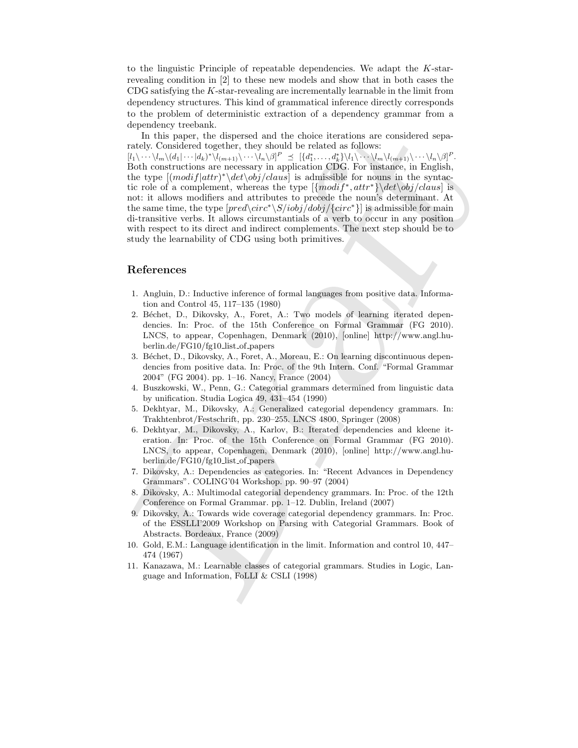to the linguistic Principle of repeatable dependencies. We adapt the K-starrevealing condition in [2] to these new models and show that in both cases the CDG satisfying the K-star-revealing are incrementally learnable in the limit from dependency structures. This kind of grammatical inference directly corresponds to the problem of deterministic extraction of a dependency grammar from a dependency treebank.

In this paper, the dispersed and the choice iterations are considered separately. Considered together, they should be related as follows:

In this paper. Its dispersed and the choice iterations are considered separately. Considered by the space of the space in the choice is follows: <br>
Table Ally the space of the consideration are necessary in application CBG  $[l_1\setminus \cdots \setminus l_m\setminus (d_1|\cdots|d_k)^*\setminus l_{(m+1)}\setminus \cdots \setminus l_n\setminus \beta]^P \preceq [\{d_1^*,\ldots,d_k^*\}\setminus l_1\setminus \cdots \setminus l_m\setminus l_{(m+1)}\setminus \cdots \setminus l_n\setminus \beta]^P.$ Both constructions are necessary in application CDG. For instance, in English, the type  $[(\text{modif}|attr)^* \det\{obj/claus}]$  is admissible for nouns in the syntactic role of a complement, whereas the type  $[\{modif^*, attr^*\} \det\{obj/claus\}]$  is not: it allows modifiers and attributes to precede the noun's determinant. At the same time, the type  $[pred\ci{rc^*\S/jobj/dobj}/{circ^*}]$  is admissible for main di-transitive verbs. It allows circumstantials of a verb to occur in any position with respect to its direct and indirect complements. The next step should be to study the learnability of CDG using both primitives.

## References

- 1. Angluin, D.: Inductive inference of formal languages from positive data. Information and Control 45, 117–135 (1980)
- 2. Béchet, D., Dikovsky, A., Foret, A.: Two models of learning iterated dependencies. In: Proc. of the 15th Conference on Formal Grammar (FG 2010). LNCS, to appear, Copenhagen, Denmark (2010), [online] http://www.angl.huberlin.de/FG10/fg10 list of papers
- 3. Béchet, D., Dikovsky, A., Foret, A., Moreau, E.: On learning discontinuous dependencies from positive data. In: Proc. of the 9th Intern. Conf. "Formal Grammar 2004" (FG 2004). pp. 1–16. Nancy, France (2004)
- 4. Buszkowski, W., Penn, G.: Categorial grammars determined from linguistic data by unification. Studia Logica 49, 431–454 (1990)
- 5. Dekhtyar, M., Dikovsky, A.: Generalized categorial dependency grammars. In: Trakhtenbrot/Festschrift, pp. 230–255. LNCS 4800, Springer (2008)
- 6. Dekhtyar, M., Dikovsky, A., Karlov, B.: Iterated dependencies and kleene iteration. In: Proc. of the 15th Conference on Formal Grammar (FG 2010). LNCS, to appear, Copenhagen, Denmark (2010), [online] http://www.angl.huberlin.de/FG10/fg10 list of papers
- 7. Dikovsky, A.: Dependencies as categories. In: "Recent Advances in Dependency Grammars". COLING'04 Workshop. pp. 90–97 (2004)
- 8. Dikovsky, A.: Multimodal categorial dependency grammars. In: Proc. of the 12th Conference on Formal Grammar. pp. 1–12. Dublin, Ireland (2007)
- 9. Dikovsky, A.: Towards wide coverage categorial dependency grammars. In: Proc. of the ESSLLI'2009 Workshop on Parsing with Categorial Grammars. Book of Abstracts. Bordeaux, France (2009)
- 10. Gold, E.M.: Language identification in the limit. Information and control 10, 447– 474 (1967)
- 11. Kanazawa, M.: Learnable classes of categorial grammars. Studies in Logic, Language and Information, FoLLI & CSLI (1998)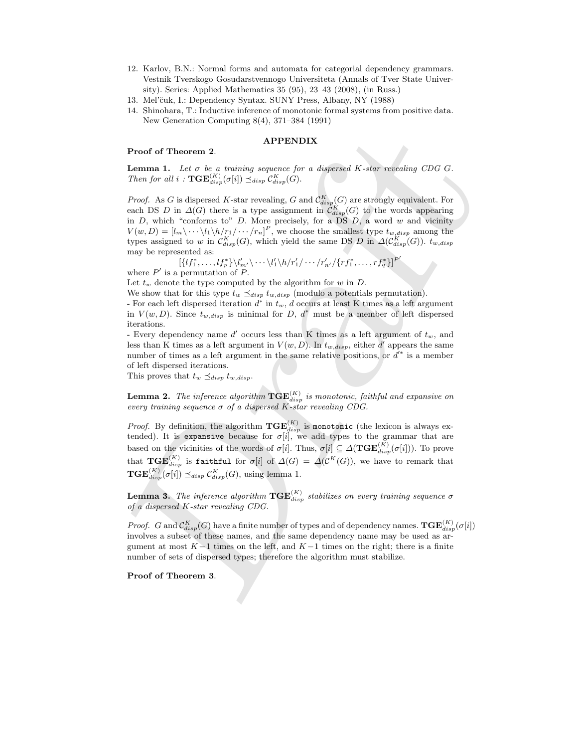- 12. Karlov, B.N.: Normal forms and automata for categorial dependency grammars. Vestnik Tverskogo Gosudarstvennogo Universiteta (Annals of Tver State University). Series: Applied Mathematics 35 (95), 23–43 (2008), (in Russ.)
- 13. Mel'čuk, I.: Dependency Syntax. SUNY Press, Albany, NY (1988)
- 14. Shinohara, T.: Inductive inference of monotonic formal systems from positive data. New Generation Computing 8(4), 371–384 (1991)

#### APPENDIX

#### Proof of Theorem 2.

**Lemma 1.** Let  $\sigma$  be a training sequence for a dispersed K-star revealing CDG G. *Then for all*  $i$  :  $\mathbf{TGE}_{disp}^{(K)}(\sigma[i]) \preceq_{disp} C_{disp}^{K}(G)$ .

**Proof of Theorem 2.** APPENDIX<br>
Lemma 1. Let  $\sigma$  be a training separate for a degree<br>of K-star rescaling CDG G. Then for all  $i$ : TGE( $E_{i\alpha,\beta}^{(i)}(i)$ )<br>  $\leq \cos \alpha_{\alpha}^{(i)}(i)$ )  $\leq \cos \alpha_{\alpha}^{(i)}(i)$  and  $Q_{i\alpha\beta}^{(i)}(i)$  a *Proof.* As G is dispersed K-star revealing, G and  $\mathcal{C}^{K}_{disp}(G)$  are strongly equivalent. For each DS D in  $\Delta(G)$  there is a type assignment in  $\mathcal{C}^{K}_{disp}(G)$  to the words appearing in  $D$ , which "conforms to"  $D$ . More precisely, for a DS  $D$ , a word  $w$  and vicinity  $V(w, D) = [l_m \langle \cdots \langle l_1 \rangle h / r_1 / \cdots / r_n]^P$ , we choose the smallest type  $t_{w,disp}$  among the types assigned to w in  $\mathcal{C}^{K}_{disp}(G)$ , which yield the same DS D in  $\Delta(\mathcal{C}^{K}_{disp}(G))$ .  $t_{w,disp}$ may be represented as:

 $\left[\left\{ l f_1^*,\ldots,l f_p^*\right\} \backslash l'_m{}'\backslash\cdots\backslash l'_1\backslash h/r'_1/\cdots/r'_{n'}/\{r f_1^*,\ldots,r f_q^*\}\right]^{P'}$ 

where  $P'$  is a permutation of  $P$ .

Let  $t_w$  denote the type computed by the algorithm for  $w$  in  $D$ .

We show that for this type  $t_w \preceq_{disp} t_{w,disp}$  (modulo a potentials permutation).

For each left dispersed iteration  $d^*$  in  $t_w$ ,  $d$  occurs at least K times as a left argument in  $V(w, D)$ . Since  $t_{w,disp}$  is minimal for D,  $d^*$  must be a member of left dispersed iterations.

- Every dependency name  $d'$  occurs less than K times as a left argument of  $t_w$ , and less than K times as a left argument in  $V(w, D)$ . In  $t_{w,disp}$ , either d' appears the same number of times as a left argument in the same relative positions, or  $d^*$  is a member of left dispersed iterations.

This proves that  $t_w \preceq_{disp} t_{w,disp}$ .

**Lemma 2.** The inference algorithm  $TGE_{disp}^{(K)}$  is monotonic, faithful and expansive on *every training sequence*  $\sigma$  *of a dispersed K-star revealing CDG.* 

*Proof.* By definition, the algorithm  $TGE_{disp}^{(K)}$  is monotonic (the lexicon is always extended). It is expansive because for  $\sigma[i]$ , we add types to the grammar that are based on the vicinities of the words of  $\sigma[i]$ . Thus,  $\sigma[i] \subseteq \Delta(\mathbf{TGE}_{disp}^{(K)}(\sigma[i]))$ . To prove that  $\mathbf{TGE}^{(K)}_{disp}$  is faithful for  $\sigma[i]$  of  $\Delta(G) = \Delta(\mathcal{C}^K(G))$ , we have to remark that  $\mathbf{TGE}_{disp}^{(K)}(\sigma[i]) \preceq_{disp} C_{disp}^{K}(G)$ , using lemma 1.

**Lemma 3.** The inference algorithm  $TGE_{disp}^{(K)}$  stabilizes on every training sequence  $\sigma$ *of a dispersed* K*-star revealing CDG.*

*Proof.* G and  $\mathcal{C}^K_{disp}(G)$  have a finite number of types and of dependency names.  $\mathbf{TGE}^{(K)}_{disp}(\sigma[i])$ involves a subset of these names, and the same dependency name may be used as argument at most  $K-1$  times on the left, and  $K-1$  times on the right; there is a finite number of sets of dispersed types; therefore the algorithm must stabilize.

Proof of Theorem 3.